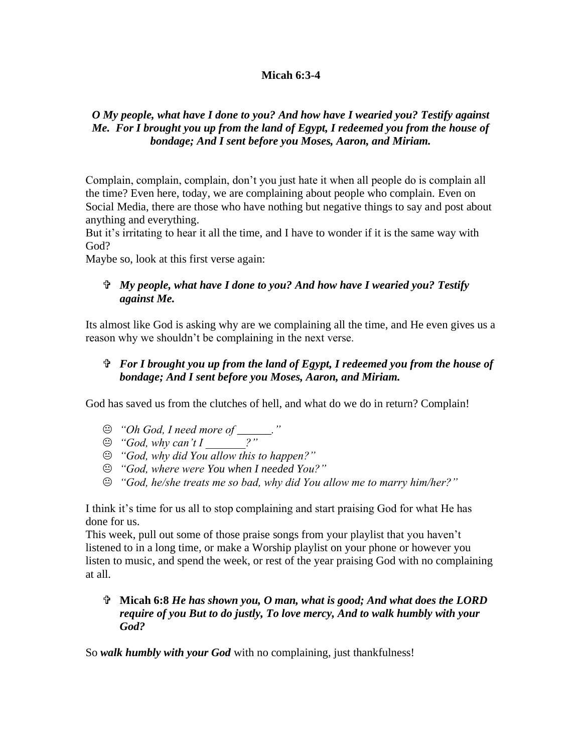## **Micah 6:3-4**

## *O My people, what have I done to you? And how have I wearied you? Testify against Me. For I brought you up from the land of Egypt, I redeemed you from the house of bondage; And I sent before you Moses, Aaron, and Miriam.*

Complain, complain, complain, don't you just hate it when all people do is complain all the time? Even here, today, we are complaining about people who complain. Even on Social Media, there are those who have nothing but negative things to say and post about anything and everything.

But it's irritating to hear it all the time, and I have to wonder if it is the same way with God?

Maybe so, look at this first verse again:

## *My people, what have I done to you? And how have I wearied you? Testify against Me.*

Its almost like God is asking why are we complaining all the time, and He even gives us a reason why we shouldn't be complaining in the next verse.

## *For I brought you up from the land of Egypt, I redeemed you from the house of bondage; And I sent before you Moses, Aaron, and Miriam.*

God has saved us from the clutches of hell, and what do we do in return? Complain!

- *"Oh God, I need more of \_\_\_\_\_\_."*
- *"God, why can't I \_\_\_\_\_\_\_?"*
- *"God, why did You allow this to happen?"*
- *"God, where were You when I needed You?"*
- *"God, he/she treats me so bad, why did You allow me to marry him/her?"*

I think it's time for us all to stop complaining and start praising God for what He has done for us.

This week, pull out some of those praise songs from your playlist that you haven't listened to in a long time, or make a Worship playlist on your phone or however you listen to music, and spend the week, or rest of the year praising God with no complaining at all.

 **Micah 6:8** *He has shown you, O man, what is good; And what does the LORD require of you But to do justly, To love mercy, And to walk humbly with your God?* 

So *walk humbly with your God* with no complaining, just thankfulness!